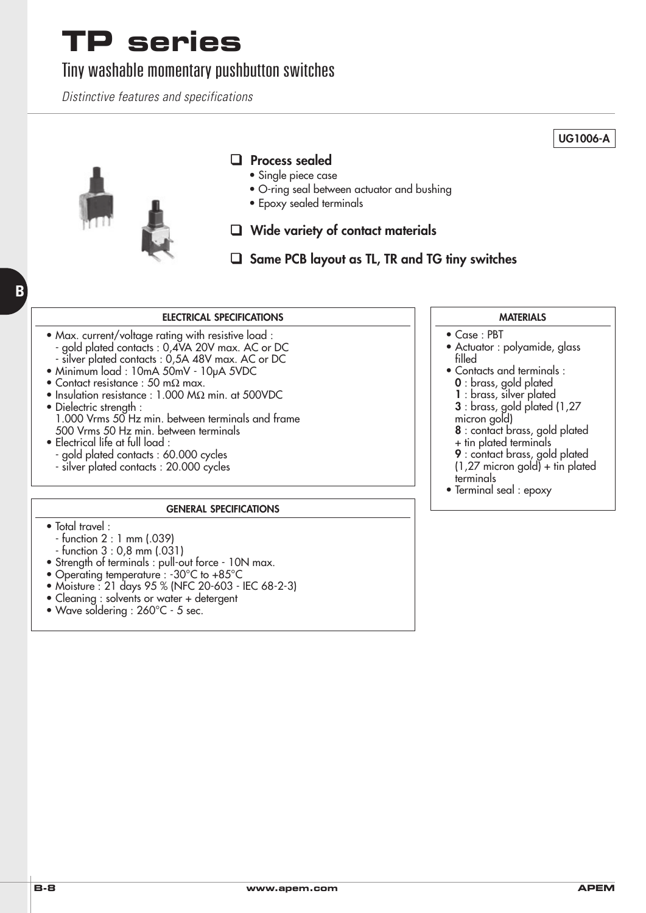#### Tiny washable momentary pushbutton switches

Distinctive features and specifications



**B**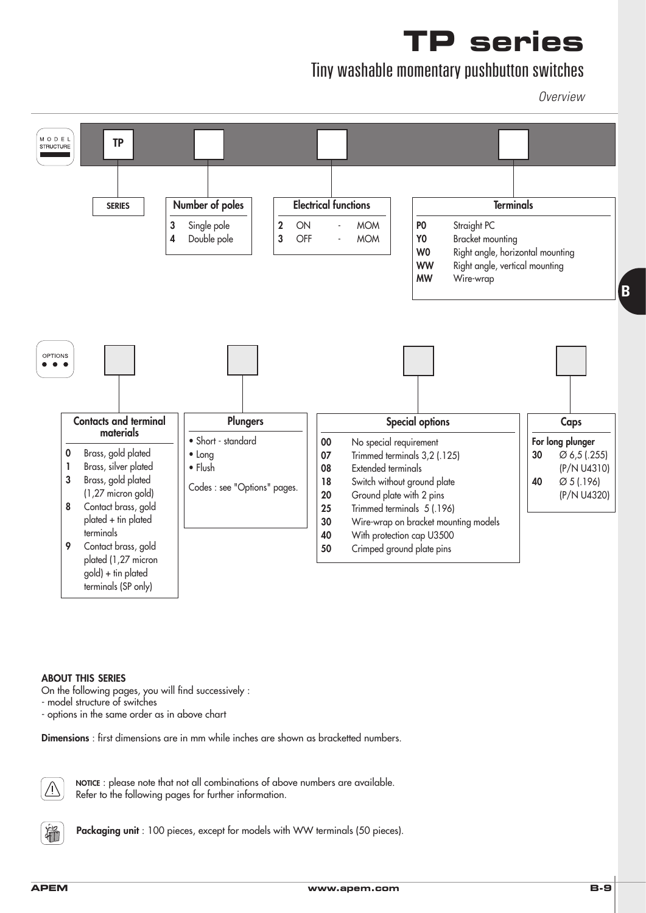### Tiny washable momentary pushbutton switches

**Overview** 



#### **ABOUT THIS SERIES**

On the following pages, you will find successively :

- model structure of switches

- options in the same order as in above chart

**Dimensions** : first dimensions are in mm while inches are shown as bracketted numbers.



**NOTICE** : please note that not all combinations of above numbers are available. Refer to the following pages for further information.



Packaging unit : 100 pieces, except for models with WW terminals (50 pieces).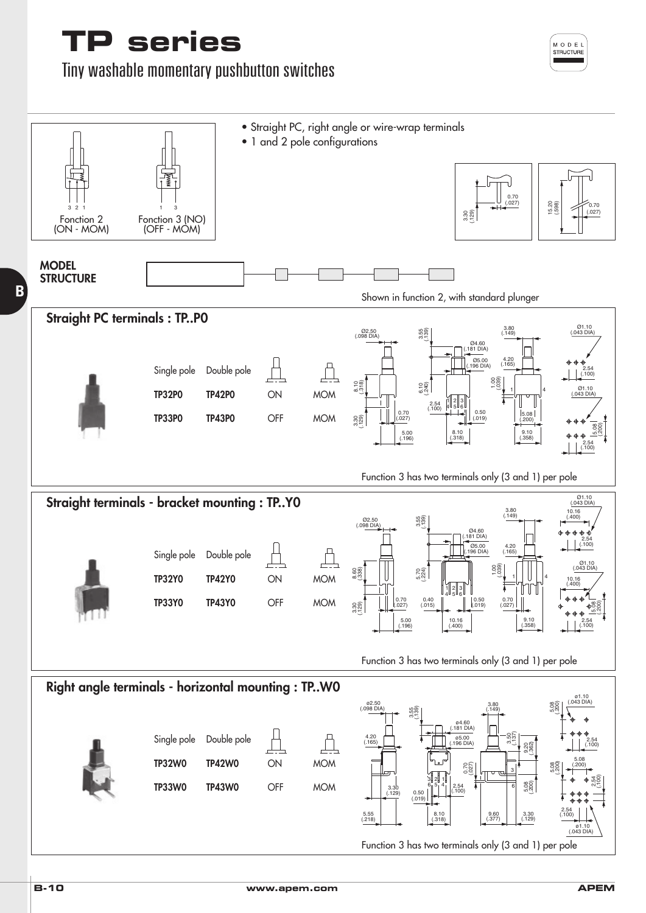Tiny washable momentary pushbutton switches



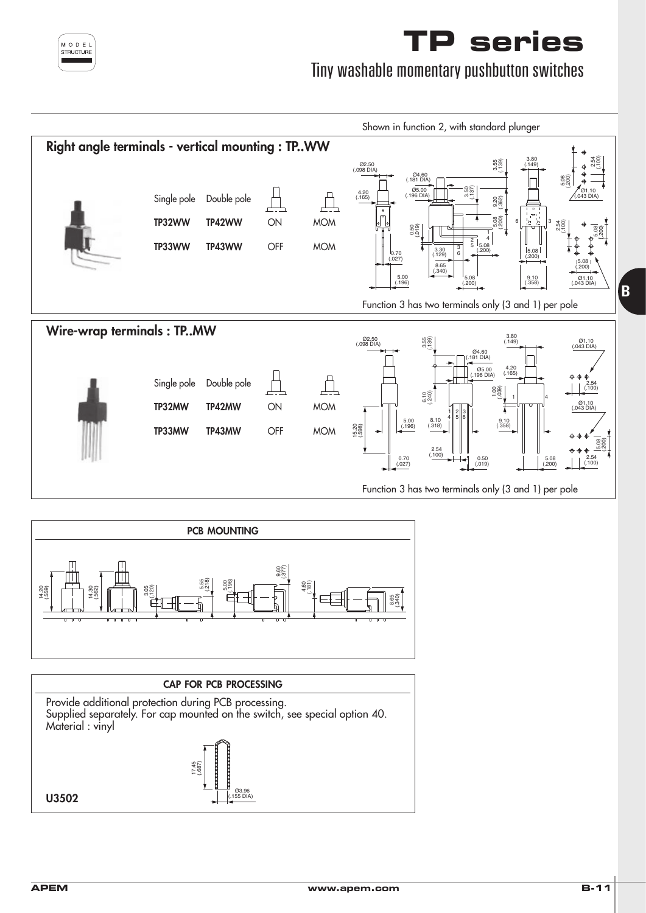

Tiny washable momentary pushbutton switches





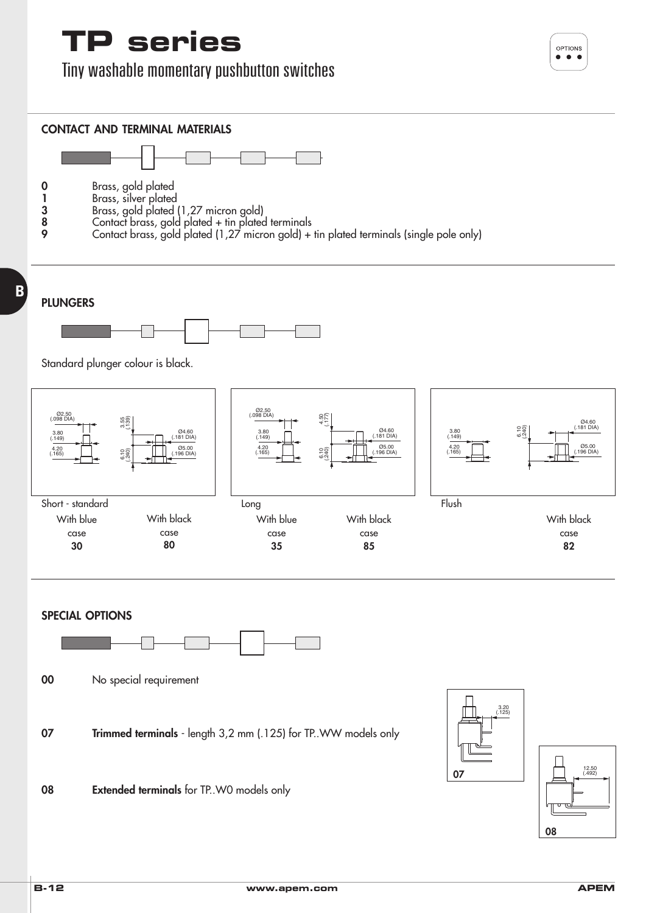Tiny washable momentary pushbutton switches

OPTIONS  $\bullet\bullet\bullet$ 



(.492) 12.50

**82**

(.181 DIA) Ø4.60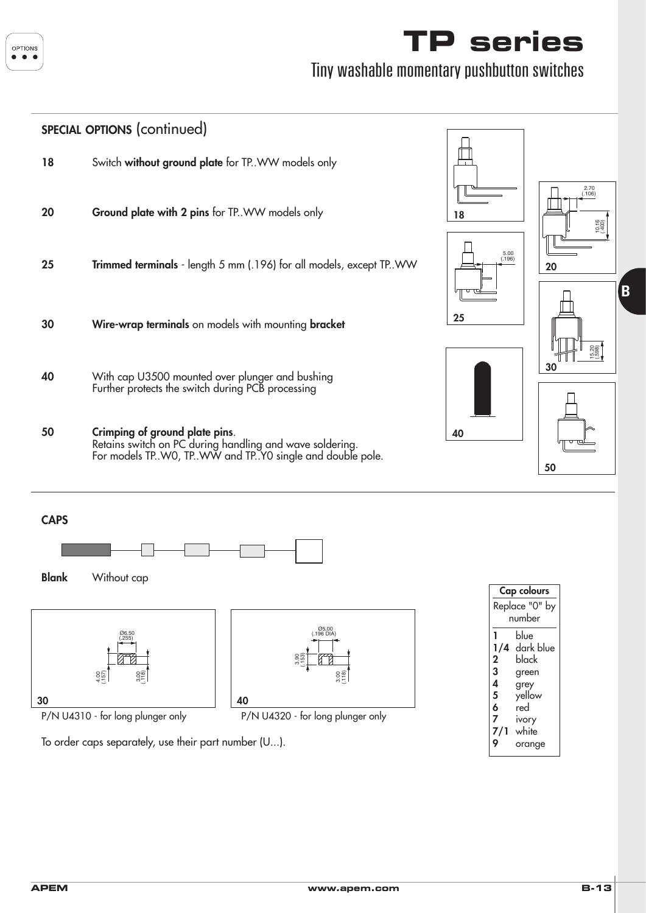

#### Tiny washable momentary pushbutton switches



**30 40**

3.00 (.118)

To order caps separately, use their part number (U...).

4.00 (.157)

P/N U4310 - for long plunger only P/N U4320 - for long plunger only

(.118) 3.00

**3** green **4** grey **5** yellow **6** red **7** ivory white **9** orange